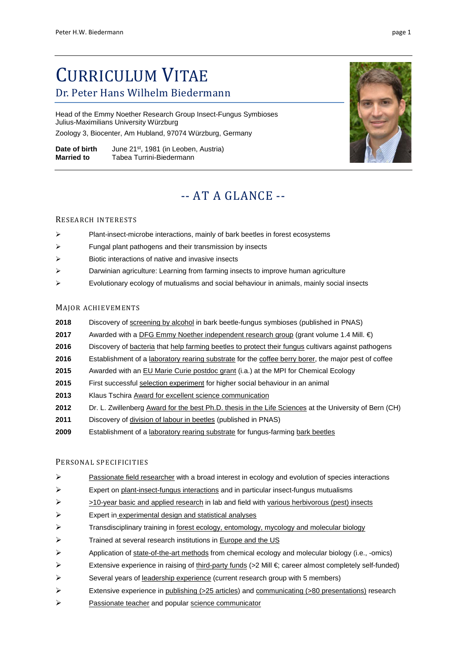# CURRICULUM VITAE Dr. Peter Hans Wilhelm Biedermann

Head of the Emmy Noether Research Group Insect-Fungus Symbioses Julius-Maximilians University Würzburg Zoology 3, Biocenter, Am Hubland, 97074 Würzburg, Germany

**Date of birth** June 21<sup>st</sup>, 1981 (in Leoben, Austria)<br>**Married to** Tabea Turrini-Biedermann **Married to** Tabea Turrini-Biedermann

# -- AT A GLANCE --

### RESEARCH INTERESTS

- $\triangleright$  Plant-insect-microbe interactions, mainly of bark beetles in forest ecosystems
- $\triangleright$  Fungal plant pathogens and their transmission by insects
- $\triangleright$  Biotic interactions of native and invasive insects
- $\triangleright$  Darwinian agriculture: Learning from farming insects to improve human agriculture
- $\triangleright$  Evolutionary ecology of mutualisms and social behaviour in animals, mainly social insects

### MAJOR ACHIEVEMENTS

- **2018** Discovery of screening by alcohol in bark beetle-fungus symbioses (published in PNAS)
- **2017** Awarded with a DFG Emmy Noether independent research group (grant volume 1.4 Mill. €)
- 2016 Discovery of bacteria that help farming beetles to protect their fungus cultivars against pathogens
- 2016 Establishment of a laboratory rearing substrate for the coffee berry borer, the major pest of coffee
- **2015** Awarded with an EU Marie Curie postdoc grant (i.a.) at the MPI for Chemical Ecology
- **2015** First successful selection experiment for higher social behaviour in an animal
- **2013** Klaus Tschira Award for excellent science communication
- **2012** Dr. L. Zwillenberg Award for the best Ph.D. thesis in the Life Sciences at the University of Bern (CH)
- **2011** Discovery of division of labour in beetles (published in PNAS)
- 2009 Establishment of a laboratory rearing substrate for fungus-farming bark beetles

### PERSONAL SPECIFICITIES

- $\triangleright$  Passionate field researcher with a broad interest in ecology and evolution of species interactions
- $\triangleright$  Expert on plant-insect-fungus interactions and in particular insect-fungus mutualisms
- $\triangleright$  >10-year basic and applied research in lab and field with various herbivorous (pest) insects
- Expert in experimental design and statistical analyses
- $\triangleright$  Transdisciplinary training in forest ecology, entomology, mycology and molecular biology
- $\triangleright$  Trained at several research institutions in **Europe and the US**
- Application of state-of-the-art methods from chemical ecology and molecular biology (i.e., -omics)
- Extensive experience in raising of third-party funds (>2 Mill  $\in$  career almost completely self-funded)
- $\triangleright$  Several years of leadership experience (current research group with 5 members)
- Extensive experience in publishing ( $>$ 25 articles) and communicating ( $>$ 80 presentations) research
- Passionate teacher and popular science communicator

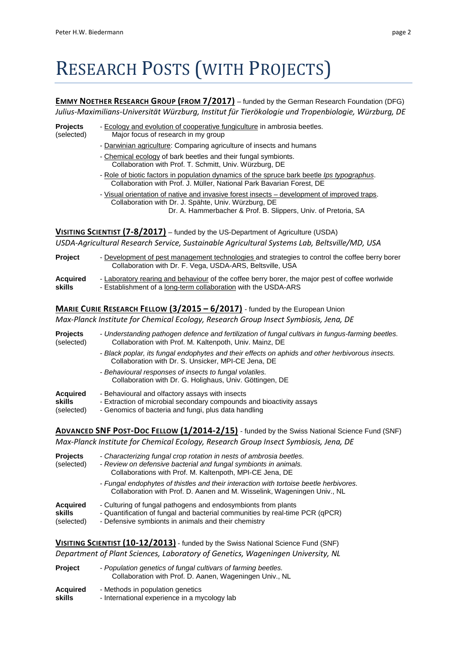# RESEARCH POSTS (WITH PROJECTS)

**EMMY NOETHER RESEARCH GROUP (FROM 7/2017)** – funded by the German Research Foundation (DFG) *Julius-Maximilians-Universität Würzburg, Institut für Tierökologie und Tropenbiologie, Würzburg, DE*

- 
- **Projects** Ecology and evolution of cooperative fungiculture in ambrosia beetles.
- (selected) Major focus of research in my group
	- Darwinian agriculture: Comparing agriculture of insects and humans
	- Chemical ecology of bark beetles and their fungal symbionts. Collaboration with Prof. T. Schmitt, Univ. Würzburg, DE
	- Role of biotic factors in population dynamics of the spruce bark beetle *Ips typographus*. Collaboration with Prof. J. Müller, National Park Bavarian Forest, DE
	- Visual orientation of native and invasive forest insects development of improved traps. Collaboration with Dr. J. Spähte, Univ. Würzburg, DE Dr. A. Hammerbacher & Prof. B. Slippers, Univ. of Pretoria, SA

**VISITING SCIENTIST (7-8/2017)** – funded by the US-Department of Agriculture (USDA) *USDA-Agricultural Research Service, Sustainable Agricultural Systems Lab, Beltsville/MD, USA*

| <b>Project</b>  | - Development of pest management technologies and strategies to control the coffee berry borer<br>Collaboration with Dr. F. Vega, USDA-ARS, Beltsville, USA |
|-----------------|-------------------------------------------------------------------------------------------------------------------------------------------------------------|
| <b>Acquired</b> | - Laboratory rearing and behaviour of the coffee berry borer, the major pest of coffee worlwide                                                             |
| skills          | - Establishment of a long-term collaboration with the USDA-ARS                                                                                              |

### **MARIE CURIE RESEARCH FELLOW (3/2015 – 6/2017)** - funded by the European Union

*Max-Planck Institute for Chemical Ecology, Research Group Insect Symbiosis, Jena, DE*

**Projects** - *Understanding pathogen defence and fertilization of fungal cultivars in fungus-farming beetles.* (selected) Collaboration with Prof. M. Kaltenpoth, Univ. Mainz, DE - *Black poplar, its fungal endophytes and their effects on aphids and other herbivorous insects.* Collaboration with Dr. S. Unsicker, MPI-CE Jena, DE - *Behavioural responses of insects to fungal volatiles.* Collaboration with Dr. G. Holighaus, Univ. Göttingen, DE **Acquired** - Behavioural and olfactory assays with insects **skills** - Extraction of microbial secondary compounds and bioactivity assays (selected) - Genomics of bacteria and fungi, plus data handling

**ADVANCED SNF POST-DOC FELLOW (1/2014-2/15)** - funded by the Swiss National Science Fund (SNF) *Max-Planck Institute for Chemical Ecology, Research Group Insect Symbiosis, Jena, DE* 

| <b>Projects</b><br>(selected)           | - Characterizing fungal crop rotation in nests of ambrosia beetles.<br>- Review on defensive bacterial and fungal symbionts in animals.<br>Collaborations with Prof. M. Kaltenpoth, MPI-CE Jena, DE   |
|-----------------------------------------|-------------------------------------------------------------------------------------------------------------------------------------------------------------------------------------------------------|
|                                         | - Fungal endophytes of thistles and their interaction with tortoise beetle herbivores.<br>Collaboration with Prof. D. Aanen and M. Wisselink, Wageningen Univ., NL                                    |
| <b>Acquired</b><br>skills<br>(selected) | - Culturing of fungal pathogens and endosymbionts from plants<br>- Quantification of fungal and bacterial communities by real-time PCR (qPCR)<br>- Defensive symbionts in animals and their chemistry |

**VISITING SCIENTIST (10-12/2013)** - funded by the Swiss National Science Fund (SNF) *Department of Plant Sciences, Laboratory of Genetics, Wageningen University, NL*

| <b>Project</b>  | - Population genetics of fungal cultivars of farming beetles.<br>Collaboration with Prof. D. Aanen, Wageningen Univ., NL |
|-----------------|--------------------------------------------------------------------------------------------------------------------------|
| <b>Acquired</b> | - Methods in population genetics                                                                                         |
| skills          | - International experience in a mycology lab                                                                             |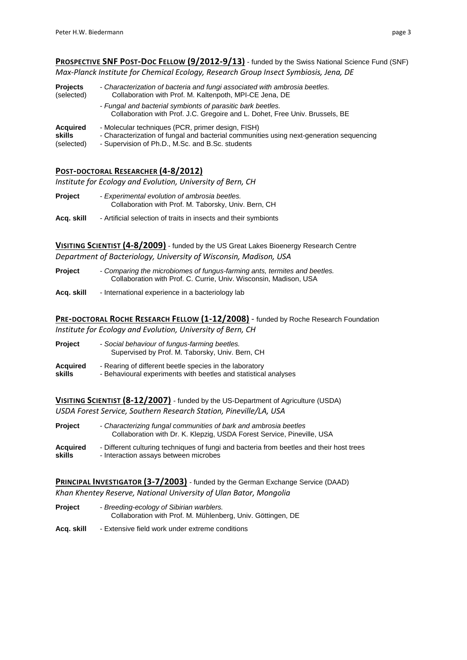**PROSPECTIVE SNF POST-DOC FELLOW (9/2012-9/13)** - funded by the Swiss National Science Fund (SNF) *Max-Planck Institute for Chemical Ecology, Research Group Insect Symbiosis, Jena, DE* 

| <b>Projects</b> | - Characterization of bacteria and fungi associated with ambrosia beetles.                                                                  |
|-----------------|---------------------------------------------------------------------------------------------------------------------------------------------|
| (selected)      | Collaboration with Prof. M. Kaltenpoth, MPI-CE Jena, DE                                                                                     |
|                 | - Fungal and bacterial symbionts of parasitic bark beetles.<br>Collaboration with Prof. J.C. Gregoire and L. Dohet, Free Univ. Brussels, BE |
| <b>Acquired</b> | - Molecular techniques (PCR, primer design, FISH)                                                                                           |
| skills          | - Characterization of fungal and bacterial communities using next-generation sequencing                                                     |
| (selected)      | - Supervision of Ph.D., M.Sc. and B.Sc. students                                                                                            |

### **POST-DOCTORAL RESEARCHER (4-8/2012)**

*Institute for Ecology and Evolution, University of Bern, CH*

- **Project** *Experimental evolution of ambrosia beetles.* Collaboration with Prof. M. Taborsky, Univ. Bern, CH
- **Acq. skill** Artificial selection of traits in insects and their symbionts

**VISITING SCIENTIST (4-8/2009)** - funded by the US Great Lakes Bioenergy Research Centre *Department of Bacteriology, University of Wisconsin, Madison, USA*

- **Project** *Comparing the microbiomes of fungus-farming ants, termites and beetles.* Collaboration with Prof. C. Currie, Univ. Wisconsin, Madison, USA
- **Acq. skill** International experience in a bacteriology lab

**PRE-DOCTORAL ROCHE RESEARCH FELLOW (1-12/2008)** - funded by Roche Research Foundation *Institute for Ecology and Evolution, University of Bern, CH* 

| <b>Project</b>  | - Social behaviour of fungus-farming beetles.<br>Supervised by Prof. M. Taborsky, Univ. Bern, CH |
|-----------------|--------------------------------------------------------------------------------------------------|
| <b>Acquired</b> | - Rearing of different beetle species in the laboratory                                          |
| skills          | - Behavioural experiments with beetles and statistical analyses                                  |

**VISITING SCIENTIST (8-12/2007)** - funded by the US-Department of Agriculture (USDA) *USDA Forest Service, Southern Research Station, Pineville/LA, USA*

| Project  | - Characterizing fungal communities of bark and ambrosia beetles<br>Collaboration with Dr. K. Klepzig, USDA Forest Service, Pineville, USA |
|----------|--------------------------------------------------------------------------------------------------------------------------------------------|
| Acquired | - Different culturing techniques of fungi and bacteria from beetles and their host trees                                                   |
| skills   | - Interaction assays between microbes                                                                                                      |

**PRINCIPAL INVESTIGATOR (3-7/2003)** - funded by the German Exchange Service (DAAD) *Khan Khentey Reserve, National University of Ulan Bator, Mongolia*

- **Project** *Breeding-ecology of Sibirian warblers.* Collaboration with Prof. M. Mühlenberg, Univ. Göttingen, DE
- **Acq. skill** Extensive field work under extreme conditions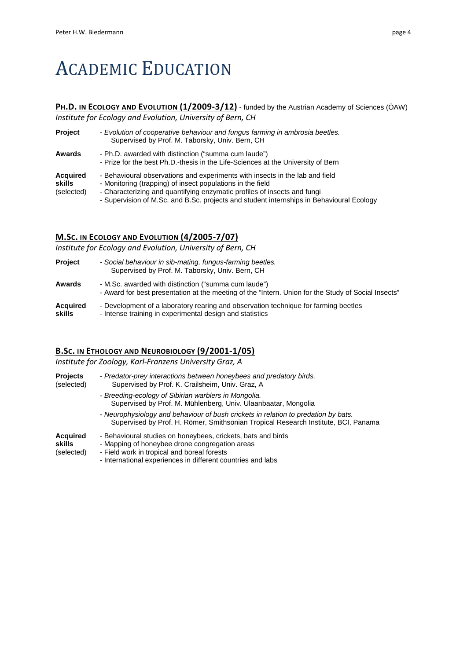# ACADEMIC EDUCATION

# **PH.D. IN ECOLOGY AND EVOLUTION (1/2009-3/12)** - funded by the Austrian Academy of Sciences (ÖAW)

*Institute for Ecology and Evolution, University of Bern, CH*

| <b>Project</b>                          | - Evolution of cooperative behaviour and fungus farming in ambrosia beetles.<br>Supervised by Prof. M. Taborsky, Univ. Bern, CH                                                                                                                                                                                    |
|-----------------------------------------|--------------------------------------------------------------------------------------------------------------------------------------------------------------------------------------------------------------------------------------------------------------------------------------------------------------------|
| Awards                                  | - Ph.D. awarded with distinction ("summa cum laude")<br>- Prize for the best Ph.D.-thesis in the Life-Sciences at the University of Bern                                                                                                                                                                           |
| <b>Acquired</b><br>skills<br>(selected) | - Behavioural observations and experiments with insects in the lab and field<br>- Monitoring (trapping) of insect populations in the field<br>- Characterizing and quantifying enzymatic profiles of insects and fungi<br>- Supervision of M.Sc. and B.Sc. projects and student internships in Behavioural Ecology |

# **M.SC. IN ECOLOGY AND EVOLUTION (4/2005-7/07)**

*Institute for Ecology and Evolution, University of Bern, CH*

| Project            | - Social behaviour in sib-mating, fungus-farming beetles.<br>Supervised by Prof. M. Taborsky, Univ. Bern, CH                                                |
|--------------------|-------------------------------------------------------------------------------------------------------------------------------------------------------------|
| Awards             | - M.Sc. awarded with distinction ("summa cum laude")<br>- Award for best presentation at the meeting of the "Intern. Union for the Study of Social Insects" |
| Acquired<br>skills | - Development of a laboratory rearing and observation technique for farming beetles<br>- Intense training in experimental design and statistics             |

## **B.SC. IN ETHOLOGY AND NEUROBIOLOGY (9/2001-1/05)**

*Institute for Zoology, Karl-Franzens University Graz, A*

| <b>Projects</b><br>(selected)           | - Predator-prey interactions between honeybees and predatory birds.<br>Supervised by Prof. K. Crailsheim, Univ. Graz, A.                                                                                                     |
|-----------------------------------------|------------------------------------------------------------------------------------------------------------------------------------------------------------------------------------------------------------------------------|
|                                         | - Breeding-ecology of Sibirian warblers in Mongolia.<br>Supervised by Prof. M. Mühlenberg, Univ. Ulaanbaatar, Mongolia                                                                                                       |
|                                         | - Neurophysiology and behaviour of bush crickets in relation to predation by bats.<br>Supervised by Prof. H. Römer, Smithsonian Tropical Research Institute, BCI, Panama                                                     |
| <b>Acquired</b><br>skills<br>(selected) | - Behavioural studies on honeybees, crickets, bats and birds<br>- Mapping of honeybee drone congregation areas<br>- Field work in tropical and boreal forests<br>- International experiences in different countries and labs |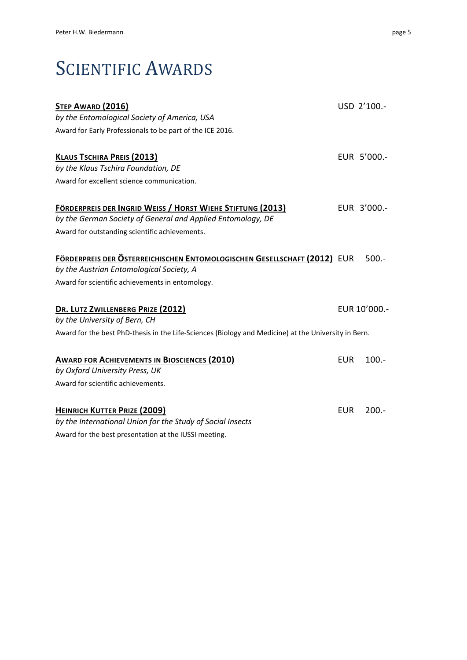# SCIENTIFIC AWARDS

| STEP AWARD (2016)                                                                                                    |            | USD 2'100.-   |
|----------------------------------------------------------------------------------------------------------------------|------------|---------------|
| by the Entomological Society of America, USA                                                                         |            |               |
| Award for Early Professionals to be part of the ICE 2016.                                                            |            |               |
| <b>KLAUS TSCHIRA PREIS (2013)</b>                                                                                    |            | EUR 5'000 .-  |
| by the Klaus Tschira Foundation, DE                                                                                  |            |               |
| Award for excellent science communication.                                                                           |            |               |
| FÖRDERPREIS DER INGRID WEISS / HORST WIEHE STIFTUNG (2013)                                                           |            | EUR 3'000 .-  |
| by the German Society of General and Applied Entomology, DE                                                          |            |               |
| Award for outstanding scientific achievements.                                                                       |            |               |
| FÖRDERPREIS DER ÖSTERREICHISCHEN ENTOMOLOGISCHEN GESELLSCHAFT (2012) EUR<br>by the Austrian Entomological Society, A |            | $500.-$       |
| Award for scientific achievements in entomology.                                                                     |            |               |
| DR. LUTZ ZWILLENBERG PRIZE (2012)<br>by the University of Bern, CH                                                   |            | EUR 10'000 .- |
| Award for the best PhD-thesis in the Life-Sciences (Biology and Medicine) at the University in Bern.                 |            |               |
| <b>AWARD FOR ACHIEVEMENTS IN BIOSCIENCES (2010)</b><br>by Oxford University Press, UK                                | <b>EUR</b> | $100.-$       |
| Award for scientific achievements.                                                                                   |            |               |
|                                                                                                                      |            |               |
| HEINRICH KUTTER PRIZE (2009)                                                                                         | <b>EUR</b> | $200.-$       |
| by the International Union for the Study of Social Insects                                                           |            |               |

Award for the best presentation at the IUSSI meeting.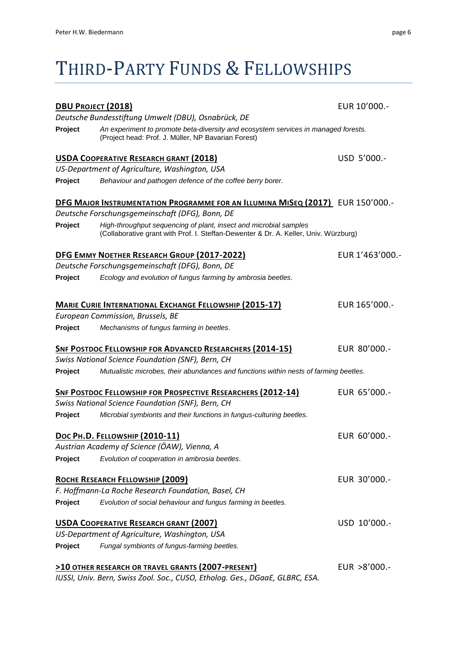# THIRD-PARTY FUNDS & FELLOWSHIPS

| <b>DBU PROJECT (2018)</b> |                                                                                                                                                           | EUR 10'000 .-   |
|---------------------------|-----------------------------------------------------------------------------------------------------------------------------------------------------------|-----------------|
|                           | Deutsche Bundesstiftung Umwelt (DBU), Osnabrück, DE                                                                                                       |                 |
| Project                   | An experiment to promote beta-diversity and ecosystem services in managed forests.<br>(Project head: Prof. J. Müller, NP Bavarian Forest)                 |                 |
|                           | USDA COOPERATIVE RESEARCH GRANT (2018)                                                                                                                    | USD 5'000.-     |
|                           | US-Department of Agriculture, Washington, USA                                                                                                             |                 |
| Project                   | Behaviour and pathogen defence of the coffee berry borer.                                                                                                 |                 |
|                           | DFG MAJOR INSTRUMENTATION PROGRAMME FOR AN ILLUMINA MISEQ (2017) EUR 150'000.-                                                                            |                 |
|                           | Deutsche Forschungsgemeinschaft (DFG), Bonn, DE                                                                                                           |                 |
| Project                   | High-throughput sequencing of plant, insect and microbial samples<br>(Collaborative grant with Prof. I. Steffan-Dewenter & Dr. A. Keller, Univ. Würzburg) |                 |
|                           | DFG EMMY NOETHER RESEARCH GROUP (2017-2022)                                                                                                               | EUR 1'463'000.- |
|                           | Deutsche Forschungsgemeinschaft (DFG), Bonn, DE                                                                                                           |                 |
| Project                   | Ecology and evolution of fungus farming by ambrosia beetles.                                                                                              |                 |
|                           | <b>MARIE CURIE INTERNATIONAL EXCHANGE FELLOWSHIP (2015-17)</b>                                                                                            | EUR 165'000 .-  |
|                           | European Commission, Brussels, BE                                                                                                                         |                 |
| Project                   | Mechanisms of fungus farming in beetles.                                                                                                                  |                 |
|                           | <b>SNF POSTDOC FELLOWSHIP FOR ADVANCED RESEARCHERS (2014-15)</b>                                                                                          | EUR 80'000.-    |
|                           | Swiss National Science Foundation (SNF), Bern, CH                                                                                                         |                 |
| Project                   | Mutualistic microbes, their abundances and functions within nests of farming beetles.                                                                     |                 |
|                           | <b>SNF POSTDOC FELLOWSHIP FOR PROSPECTIVE RESEARCHERS (2012-14)</b>                                                                                       | EUR 65'000 .-   |
|                           | Swiss National Science Foundation (SNF), Bern, CH                                                                                                         |                 |
| Project                   | Microbial symbionts and their functions in fungus-culturing beetles.                                                                                      |                 |
|                           | DOC PH.D. FELLOWSHIP (2010-11)                                                                                                                            | EUR 60'000 .-   |
|                           | Austrian Academy of Science (ÖAW), Vienna, A                                                                                                              |                 |
| Project                   | Evolution of cooperation in ambrosia beetles.                                                                                                             |                 |
|                           | ROCHE RESEARCH FELLOWSHIP (2009)                                                                                                                          | EUR 30'000 .-   |
|                           | F. Hoffmann-La Roche Research Foundation, Basel, CH                                                                                                       |                 |
| Project                   | Evolution of social behaviour and fungus farming in beetles.                                                                                              |                 |
|                           | <b>USDA COOPERATIVE RESEARCH GRANT (2007)</b>                                                                                                             | USD 10'000 .-   |
|                           | US-Department of Agriculture, Washington, USA                                                                                                             |                 |
| Project                   | Fungal symbionts of fungus-farming beetles.                                                                                                               |                 |
|                           | >10 OTHER RESEARCH OR TRAVEL GRANTS (2007-PRESENT)                                                                                                        | EUR >8'000.-    |
|                           | IUSSI, Univ. Bern, Swiss Zool. Soc., CUSO, Etholog. Ges., DGaaE, GLBRC, ESA.                                                                              |                 |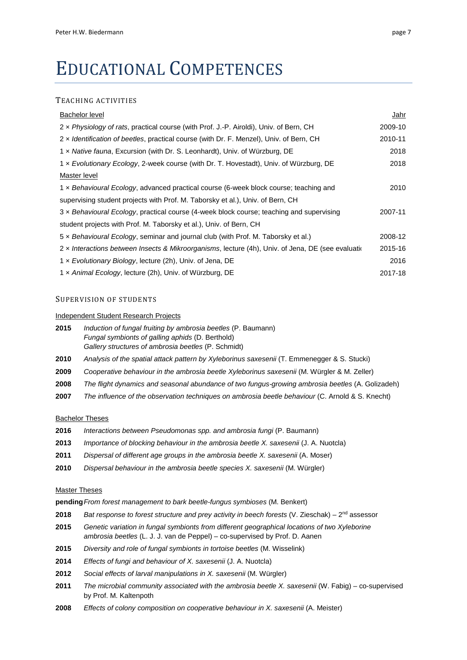# EDUCATIONAL COMPETENCES

#### TEACHING ACTIVITIES

| <b>Bachelor level</b>                                                                              | Jahr    |
|----------------------------------------------------------------------------------------------------|---------|
| 2 x Physiology of rats, practical course (with Prof. J.-P. Airoldi), Univ. of Bern, CH             | 2009-10 |
| 2 x Identification of beetles, practical course (with Dr. F. Menzel), Univ. of Bern, CH            | 2010-11 |
| 1 x Native fauna, Excursion (with Dr. S. Leonhardt), Univ. of Würzburg, DE                         | 2018    |
| 1 x Evolutionary Ecology, 2-week course (with Dr. T. Hovestadt), Univ. of Würzburg, DE             | 2018    |
| Master level                                                                                       |         |
| 1 x Behavioural Ecology, advanced practical course (6-week block course; teaching and              | 2010    |
| supervising student projects with Prof. M. Taborsky et al.), Univ. of Bern, CH                     |         |
| 3 x Behavioural Ecology, practical course (4-week block course; teaching and supervising           | 2007-11 |
| student projects with Prof. M. Taborsky et al.), Univ. of Bern, CH                                 |         |
| 5 x Behavioural Ecology, seminar and journal club (with Prof. M. Taborsky et al.)                  | 2008-12 |
| 2 x Interactions between Insects & Mikroorganisms, lecture (4h), Univ. of Jena, DE (see evaluation | 2015-16 |
| 1 x Evolutionary Biology, lecture (2h), Univ. of Jena, DE                                          | 2016    |
| 1 x Animal Ecology, lecture (2h), Univ. of Würzburg, DE                                            | 2017-18 |

### SUPERVISION OF STUDENTS

#### Independent Student Research Projects

- **2015** *Induction of fungal fruiting by ambrosia beetles* (P. Baumann) *Fungal symbionts of galling aphids* (D. Berthold) *Gallery structures of ambrosia beetles* (P. Schmidt)
- **2010** *Analysis of the spatial attack pattern by Xyleborinus saxesenii* (T. Emmenegger & S. Stucki)
- **2009** *Cooperative behaviour in the ambrosia beetle Xyleborinus saxesenii* (M. Würgler & M. Zeller)
- **2008** *The flight dynamics and seasonal abundance of two fungus-growing ambrosia beetles* (A. Golizadeh)
- **2007** *The influence of the observation techniques on ambrosia beetle behaviour* (C. Arnold & S. Knecht)

#### Bachelor Theses

- **2016** *Interactions between Pseudomonas spp. and ambrosia fungi* (P. Baumann)
- **2013** *Importance of blocking behaviour in the ambrosia beetle X. saxesenii* (J. A. Nuotcla)
- **2011** *Dispersal of different age groups in the ambrosia beetle X. saxesenii* (A. Moser)
- **2010** *Dispersal behaviour in the ambrosia beetle species X. saxesenii* (M. Würgler)

#### Master Theses

**pending***From forest management to bark beetle-fungus symbioses* (M. Benkert)

- **2018** *Bat response to forest structure and prey activity in beech forests* (V. Zieschak) 2nd assessor
- **2015** *Genetic variation in fungal symbionts from different geographical locations of two Xyleborine ambrosia beetles* (L. J. J. van de Peppel) – co-supervised by Prof. D. Aanen
- **2015** *Diversity and role of fungal symbionts in tortoise beetles* (M. Wisselink)
- **2014** *Effects of fungi and behaviour of X. saxesenii* (J. A. Nuotcla)
- **2012** *Social effects of larval manipulations in X. saxesenii* (M. Würgler)
- **2011** *The microbial community associated with the ambrosia beetle X. saxesenii* (W. Fabig) co-supervised by Prof. M. Kaltenpoth
- **2008** *Effects of colony composition on cooperative behaviour in X. saxesenii* (A. Meister)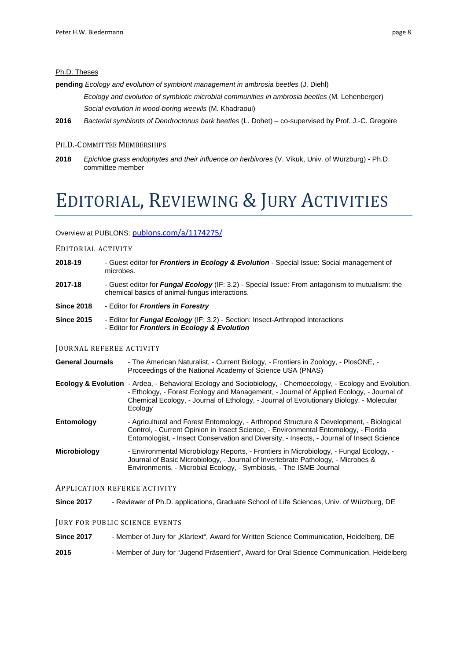#### Ph.D. Theses

**pending** *Ecology and evolution of symbiont management in ambrosia beetles* (J. Diehl)

*Ecology and evolution of symbiotic microbial communities in ambrosia beetles* (M. Lehenberger) *Social evolution in wood-boring weevils* (M. Khadraoui)

**2016** *Bacterial symbionts of Dendroctonus bark beetles* (L. Dohet) – co-supervised by Prof. J.-C. Gregoire

#### PH.D.-COMMITTEE MEMBERSHIPS

**2018** *Epichloe grass endophytes and their influence on herbivores* (V. Vikuk, Univ. of Würzburg) - Ph.D. committee member

# EDITORIAL, REVIEWING & JURY ACTIVITIES

Overview at PUBLONS: [publons.com/a/1174275/](https://publons.com/a/1174275/)

#### EDITORIAL ACTIVITY

- **2018-19** Guest editor for *Frontiers in Ecology & Evolution* Special Issue: Social management of microbes.
- **2017-18** Guest editor for *Fungal Ecology* (IF: 3.2) Special Issue: From antagonism to mutualism: the chemical basics of animal-fungus interactions.
- **Since 2018** Editor for *Frontiers in Forestry*
- **Since 2015** Editor for *Fungal Ecology* (IF: 3.2) Section: Insect-Arthropod Interactions - Editor for *Frontiers in Ecology & Evolution*

#### JOURNAL REFEREE ACTIVITY

- **General Journals**  The American Naturalist, Current Biology, Frontiers in Zoology, PlosONE, Proceedings of the National Academy of Science USA (PNAS)
- **Ecology & Evolution** Ardea, Behavioral Ecology and Sociobiology, Chemoecology, Ecology and Evolution, - Ethology, - Forest Ecology and Management, - Journal of Applied Ecology, - Journal of Chemical Ecology, - Journal of Ethology, - Journal of Evolutionary Biology, - Molecular Ecology
- **Entomology** Agricultural and Forest Entomology, Arthropod Structure & Development, Biological Control, - Current Opinion in Insect Science, - Environmental Entomology, - Florida Entomologist, - Insect Conservation and Diversity, - Insects, - Journal of Insect Science
- **Microbiology** Environmental Microbiology Reports, Frontiers in Microbiology, Fungal Ecology, Journal of Basic Microbiology, - Journal of Invertebrate Pathology, - Microbes & Environments, - Microbial Ecology, - Symbiosis, - The ISME Journal

#### APPLICATION REFEREE ACTIVITY

**Since 2017** - Reviewer of Ph.D. applications, Graduate School of Life Sciences, Univ. of Würzburg, DE

#### JURY FOR PUBLIC SCIENCE EVENTS

**Since 2017** - Member of Jury for "Klartext", Award for Written Science Communication, Heidelberg, DE

**2015** - Member of Jury for "Jugend Präsentiert", Award for Oral Science Communication, Heidelberg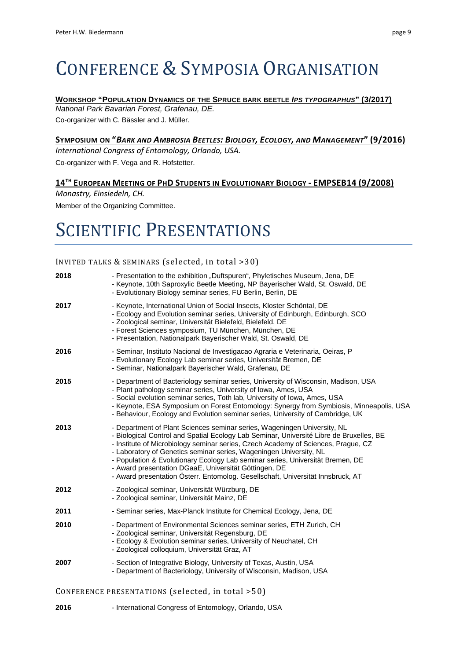# CONFERENCE & SYMPOSIA ORGANISATION

### **WORKSHOP "POPULATION DYNAMICS OF THE SPRUCE BARK BEETLE** *IPS TYPOGRAPHUS***" (3/2017)**

*National Park Bavarian Forest, Grafenau, DE.*  Co-organizer with C. Bässler and J. Müller.

## **SYMPOSIUM ON "***BARK AND AMBROSIA BEETLES: BIOLOGY, ECOLOGY, AND MANAGEMENT***" (9/2016)**

*International Congress of Entomology, Orlando, USA.*  Co-organizer with F. Vega and R. Hofstetter.

## **14TH EUROPEAN MEETING OF PHD STUDENTS IN EVOLUTIONARY BIOLOGY - EMPSEB14 (9/2008)**

*Monastry, Einsiedeln, CH.* Member of the Organizing Committee.

# SCIENTIFIC PRESENTATIONS

### INVITED TALKS & SEMINARS (selected, in total >30)

| 2018 | - Presentation to the exhibition "Duftspuren", Phyletisches Museum, Jena, DE<br>- Keynote, 10th Saproxylic Beetle Meeting, NP Bayerischer Wald, St. Oswald, DE<br>- Evolutionary Biology seminar series, FU Berlin, Berlin, DE                                                                                                                                                                                                                                                                                                                               |
|------|--------------------------------------------------------------------------------------------------------------------------------------------------------------------------------------------------------------------------------------------------------------------------------------------------------------------------------------------------------------------------------------------------------------------------------------------------------------------------------------------------------------------------------------------------------------|
| 2017 | - Keynote, International Union of Social Insects, Kloster Schöntal, DE<br>- Ecology and Evolution seminar series, University of Edinburgh, Edinburgh, SCO<br>- Zoological seminar, Universität Bielefeld, Bielefeld, DE<br>- Forest Sciences symposium, TU München, München, DE<br>- Presentation, Nationalpark Bayerischer Wald, St. Oswald, DE                                                                                                                                                                                                             |
| 2016 | - Seminar, Instituto Nacional de Investigacao Agraria e Veterinaria, Oeiras, P<br>- Evolutionary Ecology Lab seminar series, Universität Bremen, DE<br>- Seminar, Nationalpark Bayerischer Wald, Grafenau, DE                                                                                                                                                                                                                                                                                                                                                |
| 2015 | - Department of Bacteriology seminar series, University of Wisconsin, Madison, USA<br>- Plant pathology seminar series, University of Iowa, Ames, USA<br>- Social evolution seminar series, Toth lab, University of Iowa, Ames, USA<br>- Keynote, ESA Symposium on Forest Entomology: Synergy from Symbiosis, Minneapolis, USA<br>- Behaviour, Ecology and Evolution seminar series, University of Cambridge, UK                                                                                                                                             |
| 2013 | - Department of Plant Sciences seminar series, Wageningen University, NL<br>- Biological Control and Spatial Ecology Lab Seminar, Université Libre de Bruxelles, BE<br>- Institute of Microbiology seminar series, Czech Academy of Sciences, Prague, CZ<br>- Laboratory of Genetics seminar series, Wageningen University, NL<br>- Population & Evolutionary Ecology Lab seminar series, Universität Bremen, DE<br>- Award presentation DGaaE, Universität Göttingen, DE<br>- Award presentation Österr. Entomolog. Gesellschaft, Universität Innsbruck, AT |
| 2012 | - Zoological seminar, Universität Würzburg, DE<br>- Zoological seminar, Universität Mainz, DE                                                                                                                                                                                                                                                                                                                                                                                                                                                                |
| 2011 | - Seminar series, Max-Planck Institute for Chemical Ecology, Jena, DE                                                                                                                                                                                                                                                                                                                                                                                                                                                                                        |
| 2010 | - Department of Environmental Sciences seminar series, ETH Zurich, CH<br>- Zoological seminar, Universität Regensburg, DE<br>- Ecology & Evolution seminar series, University of Neuchatel, CH<br>- Zoological colloquium, Universität Graz, AT                                                                                                                                                                                                                                                                                                              |
| 2007 | - Section of Integrative Biology, University of Texas, Austin, USA<br>- Department of Bacteriology, University of Wisconsin, Madison, USA                                                                                                                                                                                                                                                                                                                                                                                                                    |
|      | CONFERENCE PRESENTATIONS (selected, in total >50)                                                                                                                                                                                                                                                                                                                                                                                                                                                                                                            |